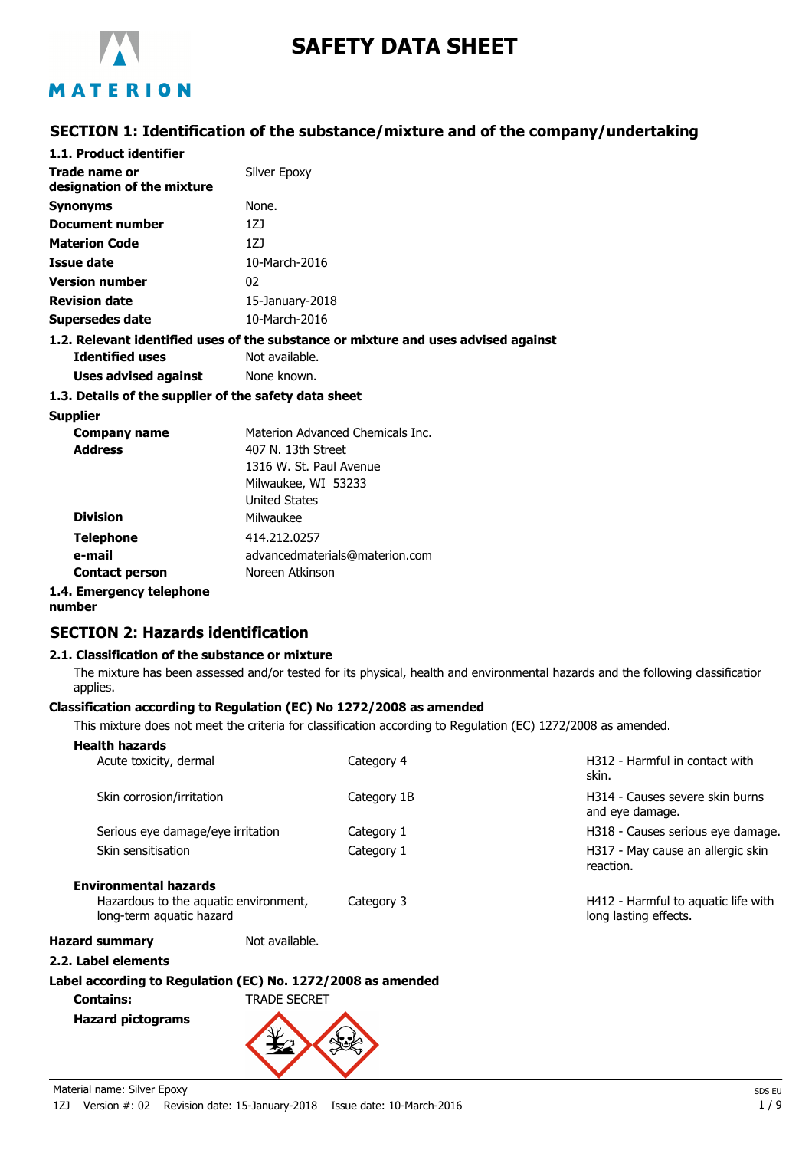

# **SAFETY DATA SHEET**

# MATERION

# **SECTION 1: Identification of the substance/mixture and of the company/undertaking**

| 1.1. Product identifier                               |                                                                                    |
|-------------------------------------------------------|------------------------------------------------------------------------------------|
| Trade name or<br>designation of the mixture           | Silver Epoxy                                                                       |
| <b>Synonyms</b>                                       | None.                                                                              |
| Document number                                       | 1ZJ                                                                                |
| <b>Materion Code</b>                                  | 1ZJ                                                                                |
| Issue date                                            | 10-March-2016                                                                      |
| <b>Version number</b>                                 | 02                                                                                 |
| <b>Revision date</b>                                  | 15-January-2018                                                                    |
| Supersedes date                                       | 10-March-2016                                                                      |
|                                                       | 1.2. Relevant identified uses of the substance or mixture and uses advised against |
| <b>Identified uses</b>                                | Not available.                                                                     |
| Uses advised against                                  | None known.                                                                        |
| 1.3. Details of the supplier of the safety data sheet |                                                                                    |
|                                                       |                                                                                    |

# **Supplier**

| <b>Company name</b>   | Materion Advanced Chemicals Inc. |
|-----------------------|----------------------------------|
| <b>Address</b>        | 407 N. 13th Street               |
|                       | 1316 W. St. Paul Avenue          |
|                       | Milwaukee, WI 53233              |
|                       | <b>United States</b>             |
| <b>Division</b>       | Milwaukee                        |
| <b>Telephone</b>      | 414.212.0257                     |
| e-mail                | advancedmaterials@materion.com   |
| <b>Contact person</b> | Noreen Atkinson                  |
|                       |                                  |

## **1.4. Emergency telephone**

**number**

# **SECTION 2: Hazards identification**

## **2.1. Classification of the substance or mixture**

The mixture has been assessed and/or tested for its physical, health and environmental hazards and the following classification applies.

## **Classification according to Regulation (EC) No 1272/2008 as amended**

This mixture does not meet the criteria for classification according to Regulation (EC) 1272/2008 as amended.

| <b>Health hazards</b>                                             |                |             |                                                              |
|-------------------------------------------------------------------|----------------|-------------|--------------------------------------------------------------|
| Acute toxicity, dermal                                            |                | Category 4  | H312 - Harmful in contact with<br>skin.                      |
| Skin corrosion/irritation                                         |                | Category 1B | H314 - Causes severe skin burns<br>and eye damage.           |
| Serious eye damage/eye irritation                                 |                | Category 1  | H318 - Causes serious eye damage.                            |
| Skin sensitisation                                                |                | Category 1  | H317 - May cause an allergic skin<br>reaction.               |
| <b>Environmental hazards</b>                                      |                |             |                                                              |
| Hazardous to the aquatic environment,<br>long-term aquatic hazard |                | Category 3  | H412 - Harmful to aquatic life with<br>long lasting effects. |
| <b>Hazard summary</b>                                             | Not available. |             |                                                              |

## **2.2. Label elements**

## **Label according to Regulation (EC) No. 1272/2008 as amended Contains:** TRADE SECRET

**Hazard pictograms**

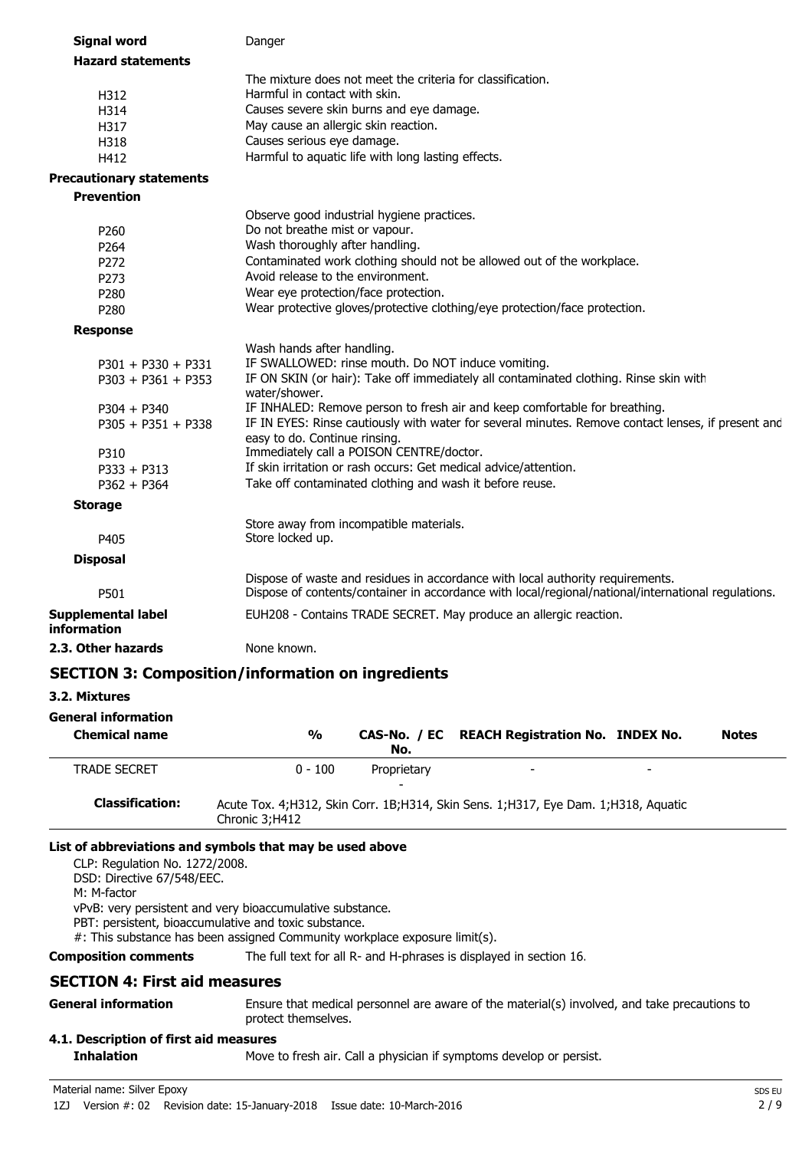| <b>Signal word</b>                       | Danger                                                                                                              |
|------------------------------------------|---------------------------------------------------------------------------------------------------------------------|
| <b>Hazard statements</b>                 |                                                                                                                     |
|                                          | The mixture does not meet the criteria for classification.                                                          |
| H312                                     | Harmful in contact with skin.                                                                                       |
| H314                                     | Causes severe skin burns and eye damage.                                                                            |
| H317                                     | May cause an allergic skin reaction.                                                                                |
| H318                                     | Causes serious eye damage.                                                                                          |
| H412                                     | Harmful to aquatic life with long lasting effects.                                                                  |
| <b>Precautionary statements</b>          |                                                                                                                     |
| <b>Prevention</b>                        |                                                                                                                     |
| P <sub>260</sub>                         | Observe good industrial hygiene practices.<br>Do not breathe mist or vapour.                                        |
| P264                                     | Wash thoroughly after handling.                                                                                     |
| P272                                     | Contaminated work clothing should not be allowed out of the workplace.                                              |
| P273                                     | Avoid release to the environment.                                                                                   |
| P280                                     | Wear eye protection/face protection.                                                                                |
| P280                                     | Wear protective gloves/protective clothing/eye protection/face protection.                                          |
| <b>Response</b>                          |                                                                                                                     |
|                                          | Wash hands after handling.                                                                                          |
| $P301 + P330 + P331$                     | IF SWALLOWED: rinse mouth. Do NOT induce vomiting.                                                                  |
| $P303 + P361 + P353$                     | IF ON SKIN (or hair): Take off immediately all contaminated clothing. Rinse skin with                               |
|                                          | water/shower.<br>IF INHALED: Remove person to fresh air and keep comfortable for breathing.                         |
| $P304 + P340$<br>$P305 + P351 + P338$    | IF IN EYES: Rinse cautiously with water for several minutes. Remove contact lenses, if present and                  |
|                                          | easy to do. Continue rinsing.                                                                                       |
| P310                                     | Immediately call a POISON CENTRE/doctor.                                                                            |
| $P333 + P313$                            | If skin irritation or rash occurs: Get medical advice/attention.                                                    |
| $P362 + P364$                            | Take off contaminated clothing and wash it before reuse.                                                            |
| <b>Storage</b>                           |                                                                                                                     |
|                                          | Store away from incompatible materials.                                                                             |
| P405                                     | Store locked up.                                                                                                    |
| <b>Disposal</b>                          |                                                                                                                     |
|                                          | Dispose of waste and residues in accordance with local authority requirements.                                      |
| P501                                     | Dispose of contents/container in accordance with local/regional/national/international regulations.                 |
| <b>Supplemental label</b><br>information | EUH208 - Contains TRADE SECRET. May produce an allergic reaction.                                                   |
| 2.3. Other hazards                       | None known.                                                                                                         |
|                                          | <b>SECTION 3: Composition/information on ingredients</b>                                                            |
| 3.2. Mixtures                            |                                                                                                                     |
| <b>General information</b>               |                                                                                                                     |
| <b>Chemical name</b>                     | $\frac{0}{0}$<br>CAS-No. / EC REACH Registration No. INDEX No.<br><b>Notes</b>                                      |
|                                          | No.                                                                                                                 |
| <b>TRADE SECRET</b>                      | $0 - 100$<br>Proprietary                                                                                            |
|                                          |                                                                                                                     |
| <b>Classification:</b>                   | Acute Tox. 4;H312, Skin Corr. 1B;H314, Skin Sens. 1;H317, Eye Dam. 1;H318, Aquatic<br>Chronic 3;H412                |
|                                          | List of abbreviations and symbols that may be used above                                                            |
| CLP: Regulation No. 1272/2008.           |                                                                                                                     |
| DSD: Directive 67/548/EEC.               |                                                                                                                     |
| M: M-factor                              |                                                                                                                     |
|                                          | vPvB: very persistent and very bioaccumulative substance.                                                           |
|                                          | PBT: persistent, bioaccumulative and toxic substance.                                                               |
|                                          | #: This substance has been assigned Community workplace exposure limit(s).                                          |
| <b>Composition comments</b>              | The full text for all R- and H-phrases is displayed in section 16.                                                  |
| <b>SECTION 4: First aid measures</b>     |                                                                                                                     |
| <b>General information</b>               | Ensure that medical personnel are aware of the material(s) involved, and take precautions to<br>protect themselves. |
| 4.1. Description of first aid measures   |                                                                                                                     |
| <b>Inhalation</b>                        | Move to fresh air. Call a physician if symptoms develop or persist.                                                 |
|                                          |                                                                                                                     |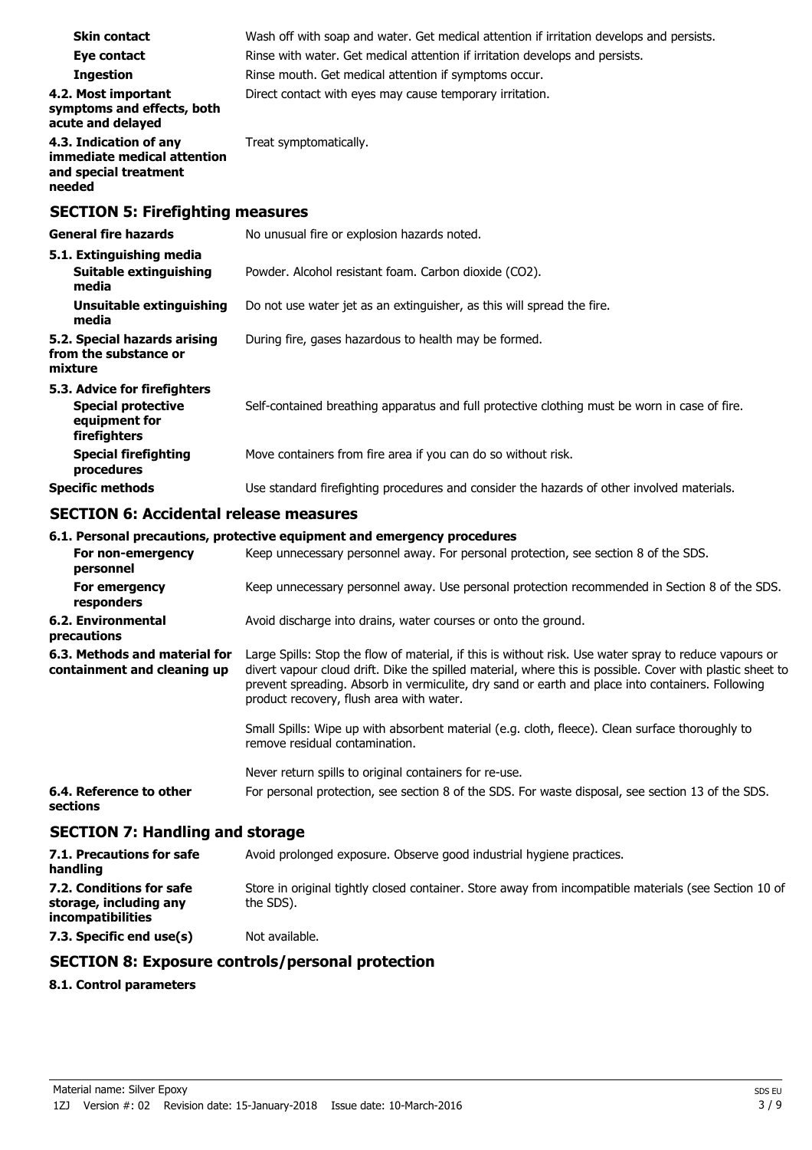| <b>Skin contact</b>                                                                        | Wash off with soap and water. Get medical attention if irritation develops and persists.      |
|--------------------------------------------------------------------------------------------|-----------------------------------------------------------------------------------------------|
| Eye contact                                                                                | Rinse with water. Get medical attention if irritation develops and persists.                  |
| <b>Ingestion</b>                                                                           | Rinse mouth. Get medical attention if symptoms occur.                                         |
| 4.2. Most important<br>symptoms and effects, both<br>acute and delayed                     | Direct contact with eyes may cause temporary irritation.                                      |
| 4.3. Indication of any<br>immediate medical attention<br>and special treatment<br>needed   | Treat symptomatically.                                                                        |
| <b>SECTION 5: Firefighting measures</b>                                                    |                                                                                               |
| <b>General fire hazards</b>                                                                | No unusual fire or explosion hazards noted.                                                   |
| 5.1. Extinguishing media<br>Suitable extinguishing<br>media                                | Powder. Alcohol resistant foam. Carbon dioxide (CO2).                                         |
| <b>Unsuitable extinguishing</b><br>media                                                   | Do not use water jet as an extinguisher, as this will spread the fire.                        |
| 5.2. Special hazards arising<br>from the substance or<br>mixture                           | During fire, gases hazardous to health may be formed.                                         |
| 5.3. Advice for firefighters<br><b>Special protective</b><br>equipment for<br>firefighters | Self-contained breathing apparatus and full protective clothing must be worn in case of fire. |
| <b>Special firefighting</b><br>procedures                                                  | Move containers from fire area if you can do so without risk.                                 |
| <b>Specific methods</b>                                                                    | Use standard firefighting procedures and consider the hazards of other involved materials.    |

## **SECTION 6: Accidental release measures**

# **6.1. Personal precautions, protective equipment and emergency procedures**

|                                                              | vili i ciboligi precaations, protective equipment and emergency proceaares                                                                                                                                                                                                                                                                                          |
|--------------------------------------------------------------|---------------------------------------------------------------------------------------------------------------------------------------------------------------------------------------------------------------------------------------------------------------------------------------------------------------------------------------------------------------------|
| For non-emergency<br>personnel                               | Keep unnecessary personnel away. For personal protection, see section 8 of the SDS.                                                                                                                                                                                                                                                                                 |
| For emergency<br>responders                                  | Keep unnecessary personnel away. Use personal protection recommended in Section 8 of the SDS.                                                                                                                                                                                                                                                                       |
| 6.2. Environmental<br>precautions                            | Avoid discharge into drains, water courses or onto the ground.                                                                                                                                                                                                                                                                                                      |
| 6.3. Methods and material for<br>containment and cleaning up | Large Spills: Stop the flow of material, if this is without risk. Use water spray to reduce vapours or<br>divert vapour cloud drift. Dike the spilled material, where this is possible. Cover with plastic sheet to<br>prevent spreading. Absorb in vermiculite, dry sand or earth and place into containers. Following<br>product recovery, flush area with water. |
|                                                              | Small Spills: Wipe up with absorbent material (e.g. cloth, fleece). Clean surface thoroughly to<br>remove residual contamination.                                                                                                                                                                                                                                   |
|                                                              | Never return spills to original containers for re-use.                                                                                                                                                                                                                                                                                                              |
| 6.4. Reference to other<br>sections                          | For personal protection, see section 8 of the SDS. For waste disposal, see section 13 of the SDS.                                                                                                                                                                                                                                                                   |
| <b>SECTION 7: Handling and storage</b>                       |                                                                                                                                                                                                                                                                                                                                                                     |
| 7.1. Precautions for safe<br>handling                        | Avoid prolonged exposure. Observe good industrial hygiene practices.                                                                                                                                                                                                                                                                                                |
| 7.2. Conditions for safe                                     | Store in original tightly closed container. Store away from incompatible materials (see Section 10 of                                                                                                                                                                                                                                                               |

**7.3. Specific end use(s)** Not available.

# **SECTION 8: Exposure controls/personal protection**

the SDS).

#### **8.1. Control parameters**

**7.2. Conditions for safe storage, including any incompatibilities**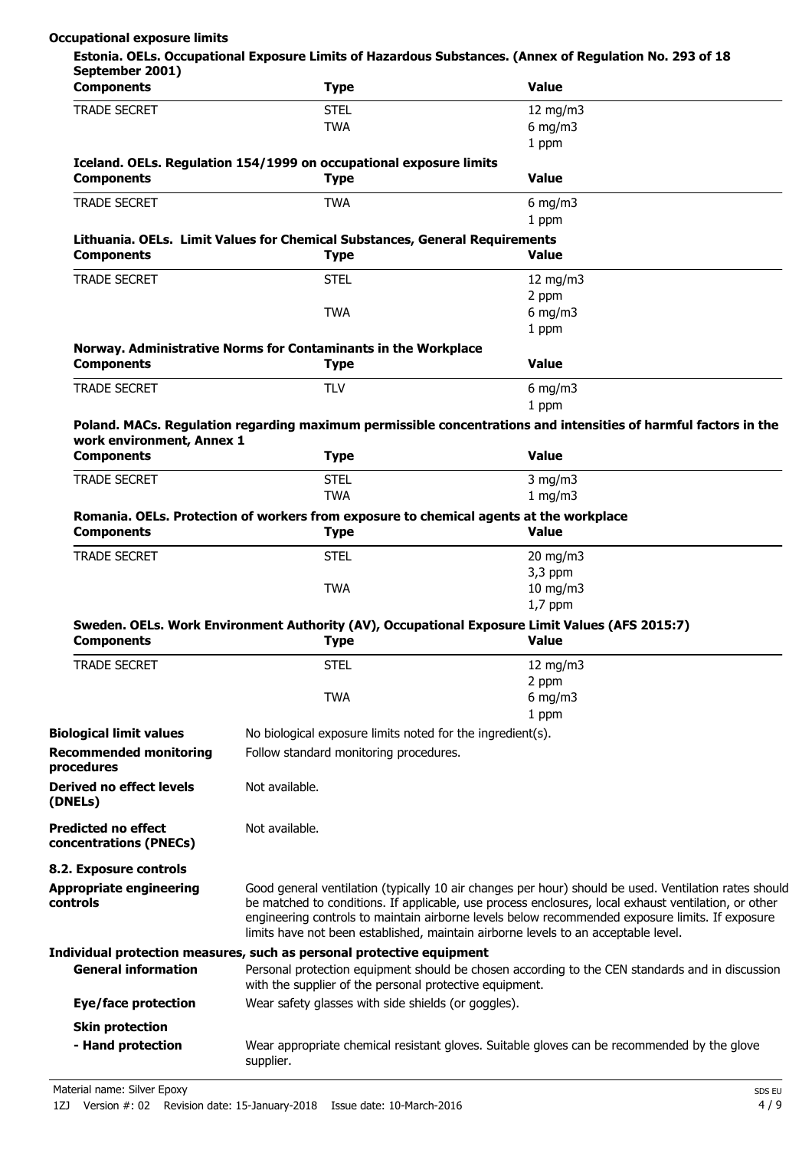## **Occupational exposure limits**

| September 2001)<br><b>Components</b>                 | <b>Type</b>                                                                                           | <b>Value</b>                                                                                                                                                                                                                                                                                  |
|------------------------------------------------------|-------------------------------------------------------------------------------------------------------|-----------------------------------------------------------------------------------------------------------------------------------------------------------------------------------------------------------------------------------------------------------------------------------------------|
| <b>TRADE SECRET</b>                                  | <b>STEL</b>                                                                                           | 12 $mg/m3$                                                                                                                                                                                                                                                                                    |
|                                                      | <b>TWA</b>                                                                                            | $6$ mg/m $3$                                                                                                                                                                                                                                                                                  |
|                                                      |                                                                                                       | 1 ppm                                                                                                                                                                                                                                                                                         |
|                                                      | Iceland. OELs. Regulation 154/1999 on occupational exposure limits                                    |                                                                                                                                                                                                                                                                                               |
| <b>Components</b>                                    | <b>Type</b>                                                                                           | <b>Value</b>                                                                                                                                                                                                                                                                                  |
| <b>TRADE SECRET</b>                                  | <b>TWA</b>                                                                                            | 6 mg/m $3$                                                                                                                                                                                                                                                                                    |
|                                                      |                                                                                                       | 1 ppm                                                                                                                                                                                                                                                                                         |
| <b>Components</b>                                    | Lithuania. OELs. Limit Values for Chemical Substances, General Requirements<br><b>Type</b>            | <b>Value</b>                                                                                                                                                                                                                                                                                  |
| <b>TRADE SECRET</b>                                  | <b>STEL</b>                                                                                           | 12 mg/m $3$                                                                                                                                                                                                                                                                                   |
|                                                      |                                                                                                       | 2 ppm                                                                                                                                                                                                                                                                                         |
|                                                      | <b>TWA</b>                                                                                            | $6$ mg/m $3$                                                                                                                                                                                                                                                                                  |
|                                                      |                                                                                                       | 1 ppm                                                                                                                                                                                                                                                                                         |
| <b>Components</b>                                    | Norway. Administrative Norms for Contaminants in the Workplace<br><b>Type</b>                         | <b>Value</b>                                                                                                                                                                                                                                                                                  |
| <b>TRADE SECRET</b>                                  | <b>TLV</b>                                                                                            | $6$ mg/m $3$                                                                                                                                                                                                                                                                                  |
|                                                      |                                                                                                       | 1 ppm                                                                                                                                                                                                                                                                                         |
| work environment, Annex 1                            |                                                                                                       | Poland. MACs. Regulation regarding maximum permissible concentrations and intensities of harmful factors in the                                                                                                                                                                               |
| <b>Components</b>                                    | <b>Type</b>                                                                                           | <b>Value</b>                                                                                                                                                                                                                                                                                  |
| <b>TRADE SECRET</b>                                  | <b>STEL</b>                                                                                           | $3$ mg/m $3$                                                                                                                                                                                                                                                                                  |
|                                                      | <b>TWA</b>                                                                                            | 1 mg/m3                                                                                                                                                                                                                                                                                       |
| <b>Components</b>                                    | Romania. OELs. Protection of workers from exposure to chemical agents at the workplace<br><b>Type</b> | <b>Value</b>                                                                                                                                                                                                                                                                                  |
| <b>TRADE SECRET</b>                                  | <b>STEL</b>                                                                                           | $20$ mg/m $3$                                                                                                                                                                                                                                                                                 |
|                                                      |                                                                                                       | $3,3$ ppm                                                                                                                                                                                                                                                                                     |
|                                                      | <b>TWA</b>                                                                                            | $10$ mg/m $3$                                                                                                                                                                                                                                                                                 |
|                                                      |                                                                                                       | $1,7$ ppm                                                                                                                                                                                                                                                                                     |
| <b>Components</b>                                    | <b>Type</b>                                                                                           | Sweden. OELs. Work Environment Authority (AV), Occupational Exposure Limit Values (AFS 2015:7)<br><b>Value</b>                                                                                                                                                                                |
| <b>TRADE SECRET</b>                                  | <b>STEL</b>                                                                                           | 12 mg/m3                                                                                                                                                                                                                                                                                      |
|                                                      |                                                                                                       | 2 ppm                                                                                                                                                                                                                                                                                         |
|                                                      | <b>TWA</b>                                                                                            | $6$ mg/m $3$                                                                                                                                                                                                                                                                                  |
|                                                      |                                                                                                       | 1 ppm                                                                                                                                                                                                                                                                                         |
| <b>Biological limit values</b>                       | No biological exposure limits noted for the ingredient(s).                                            |                                                                                                                                                                                                                                                                                               |
| <b>Recommended monitoring</b>                        | Follow standard monitoring procedures.                                                                |                                                                                                                                                                                                                                                                                               |
| procedures                                           |                                                                                                       |                                                                                                                                                                                                                                                                                               |
| <b>Derived no effect levels</b><br>(DNELs)           | Not available.                                                                                        |                                                                                                                                                                                                                                                                                               |
| <b>Predicted no effect</b><br>concentrations (PNECs) | Not available.                                                                                        |                                                                                                                                                                                                                                                                                               |
| 8.2. Exposure controls                               |                                                                                                       |                                                                                                                                                                                                                                                                                               |
| <b>Appropriate engineering</b>                       |                                                                                                       | Good general ventilation (typically 10 air changes per hour) should be used. Ventilation rates should                                                                                                                                                                                         |
| controls                                             |                                                                                                       | be matched to conditions. If applicable, use process enclosures, local exhaust ventilation, or other<br>engineering controls to maintain airborne levels below recommended exposure limits. If exposure<br>limits have not been established, maintain airborne levels to an acceptable level. |
|                                                      | Individual protection measures, such as personal protective equipment                                 |                                                                                                                                                                                                                                                                                               |
| <b>General information</b>                           | with the supplier of the personal protective equipment.                                               | Personal protection equipment should be chosen according to the CEN standards and in discussion                                                                                                                                                                                               |
| Eye/face protection                                  | Wear safety glasses with side shields (or goggles).                                                   |                                                                                                                                                                                                                                                                                               |
| <b>Skin protection</b>                               |                                                                                                       |                                                                                                                                                                                                                                                                                               |
| - Hand protection                                    |                                                                                                       | Wear appropriate chemical resistant gloves. Suitable gloves can be recommended by the glove                                                                                                                                                                                                   |
|                                                      | supplier.                                                                                             |                                                                                                                                                                                                                                                                                               |

Material name: Silver Epoxy SDS EU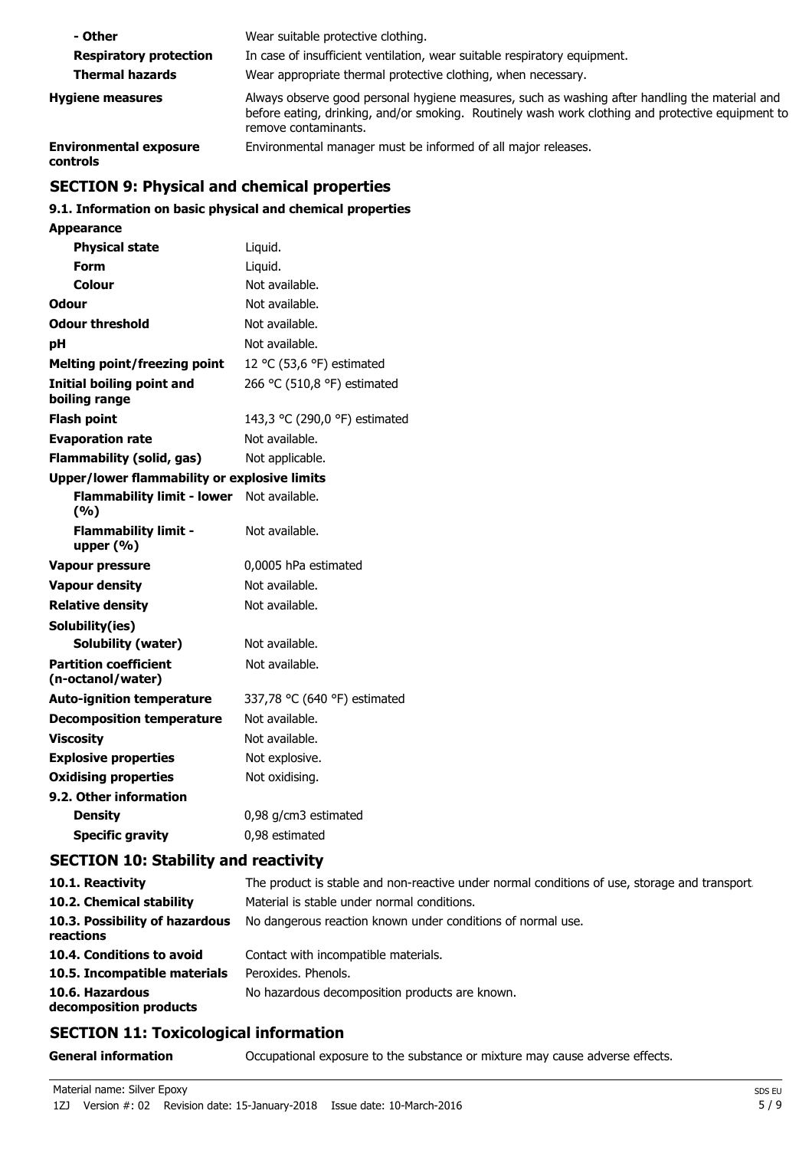| - Other                                   | Wear suitable protective clothing.                                                                                                                                                                                          |
|-------------------------------------------|-----------------------------------------------------------------------------------------------------------------------------------------------------------------------------------------------------------------------------|
| <b>Respiratory protection</b>             | In case of insufficient ventilation, wear suitable respiratory equipment.                                                                                                                                                   |
| <b>Thermal hazards</b>                    | Wear appropriate thermal protective clothing, when necessary.                                                                                                                                                               |
| <b>Hygiene measures</b>                   | Always observe good personal hygiene measures, such as washing after handling the material and<br>before eating, drinking, and/or smoking. Routinely wash work clothing and protective equipment to<br>remove contaminants. |
| <b>Environmental exposure</b><br>controls | Environmental manager must be informed of all major releases.                                                                                                                                                               |

# **SECTION 9: Physical and chemical properties**

## **9.1. Information on basic physical and chemical properties**

| <b>Appearance</b>                                   |                               |
|-----------------------------------------------------|-------------------------------|
| <b>Physical state</b>                               | Liquid.                       |
| Form                                                | Liquid.                       |
| Colour                                              | Not available.                |
| Odour                                               | Not available.                |
| <b>Odour threshold</b>                              | Not available.                |
| рH                                                  | Not available.                |
| <b>Melting point/freezing point</b>                 | 12 °C (53,6 °F) estimated     |
| Initial boiling point and<br>boiling range          | 266 °C (510,8 °F) estimated   |
| <b>Flash point</b>                                  | 143,3 °C (290,0 °F) estimated |
| <b>Evaporation rate</b>                             | Not available.                |
| <b>Flammability (solid, gas)</b>                    | Not applicable.               |
| <b>Upper/lower flammability or explosive limits</b> |                               |
| <b>Flammability limit - lower</b><br>(%)            | Not available.                |
| <b>Flammability limit -</b><br>upper $(% )$         | Not available.                |
| <b>Vapour pressure</b>                              | 0,0005 hPa estimated          |
| <b>Vapour density</b>                               | Not available.                |
| <b>Relative density</b>                             | Not available.                |
| Solubility(ies)                                     |                               |
| Solubility (water)                                  | Not available.                |
| <b>Partition coefficient</b><br>(n-octanol/water)   | Not available.                |
| <b>Auto-ignition temperature</b>                    | 337,78 °C (640 °F) estimated  |
| <b>Decomposition temperature</b>                    | Not available.                |
| <b>Viscosity</b>                                    | Not available.                |
| <b>Explosive properties</b>                         | Not explosive.                |
| <b>Oxidising properties</b>                         | Not oxidising.                |
| 9.2. Other information                              |                               |
| <b>Density</b>                                      | 0,98 g/cm3 estimated          |
| <b>Specific gravity</b>                             | 0,98 estimated                |

# **SECTION 10: Stability and reactivity**

| 10.1. Reactivity                            | The product is stable and non-reactive under normal conditions of use, storage and transport. |
|---------------------------------------------|-----------------------------------------------------------------------------------------------|
| 10.2. Chemical stability                    | Material is stable under normal conditions.                                                   |
| 10.3. Possibility of hazardous<br>reactions | No dangerous reaction known under conditions of normal use.                                   |
| 10.4. Conditions to avoid                   | Contact with incompatible materials.                                                          |
| 10.5. Incompatible materials                | Peroxides. Phenols.                                                                           |
| 10.6. Hazardous<br>decomposition products   | No hazardous decomposition products are known.                                                |

# **SECTION 11: Toxicological information**

**General information CCCUPATION** Occupational exposure to the substance or mixture may cause adverse effects.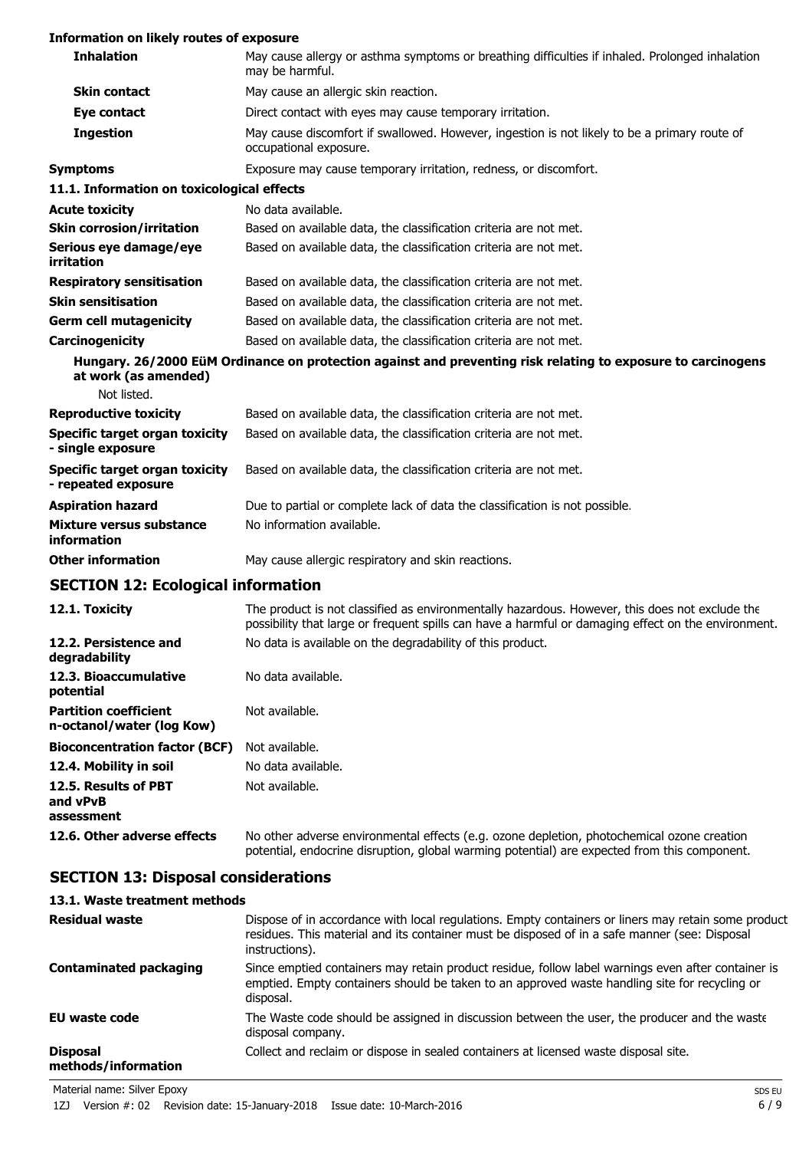## **Information on likely routes of exposure**

| <b>Inhalation</b>                                         | May cause allergy or asthma symptoms or breathing difficulties if inhaled. Prolonged inhalation<br>may be harmful.                                                                                    |
|-----------------------------------------------------------|-------------------------------------------------------------------------------------------------------------------------------------------------------------------------------------------------------|
| <b>Skin contact</b>                                       | May cause an allergic skin reaction.                                                                                                                                                                  |
| Eye contact                                               | Direct contact with eyes may cause temporary irritation.                                                                                                                                              |
| <b>Ingestion</b>                                          | May cause discomfort if swallowed. However, ingestion is not likely to be a primary route of<br>occupational exposure.                                                                                |
| <b>Symptoms</b>                                           | Exposure may cause temporary irritation, redness, or discomfort.                                                                                                                                      |
| 11.1. Information on toxicological effects                |                                                                                                                                                                                                       |
| <b>Acute toxicity</b>                                     | No data available.                                                                                                                                                                                    |
| <b>Skin corrosion/irritation</b>                          | Based on available data, the classification criteria are not met.                                                                                                                                     |
| Serious eye damage/eye<br>irritation                      | Based on available data, the classification criteria are not met.                                                                                                                                     |
| <b>Respiratory sensitisation</b>                          | Based on available data, the classification criteria are not met.                                                                                                                                     |
| <b>Skin sensitisation</b>                                 | Based on available data, the classification criteria are not met.                                                                                                                                     |
| <b>Germ cell mutagenicity</b>                             | Based on available data, the classification criteria are not met.                                                                                                                                     |
| <b>Carcinogenicity</b>                                    | Based on available data, the classification criteria are not met.                                                                                                                                     |
| at work (as amended)<br>Not listed.                       | Hungary. 26/2000 EüM Ordinance on protection against and preventing risk relating to exposure to carcinogens                                                                                          |
| <b>Reproductive toxicity</b>                              | Based on available data, the classification criteria are not met.                                                                                                                                     |
| Specific target organ toxicity<br>- single exposure       | Based on available data, the classification criteria are not met.                                                                                                                                     |
| Specific target organ toxicity<br>- repeated exposure     | Based on available data, the classification criteria are not met.                                                                                                                                     |
| <b>Aspiration hazard</b>                                  | Due to partial or complete lack of data the classification is not possible.                                                                                                                           |
| <b>Mixture versus substance</b><br>information            | No information available.                                                                                                                                                                             |
| <b>Other information</b>                                  | May cause allergic respiratory and skin reactions.                                                                                                                                                    |
| <b>SECTION 12: Ecological information</b>                 |                                                                                                                                                                                                       |
| 12.1. Toxicity                                            | The product is not classified as environmentally hazardous. However, this does not exclude the<br>possibility that large or frequent spills can have a harmful or damaging effect on the environment. |
| 12.2. Persistence and<br>degradability                    | No data is available on the degradability of this product.                                                                                                                                            |
| 12.3. Bioaccumulative<br>potential                        | No data available.                                                                                                                                                                                    |
| <b>Partition coefficient</b><br>n-octanol/water (log Kow) | Not available.                                                                                                                                                                                        |
| <b>Bioconcentration factor (BCF)</b>                      | Not available.                                                                                                                                                                                        |

**12.4. Mobility in soil** No data available.

**12.5. Results of PBT and vPvB** Not available.

**assessment**

**12.6. Other adverse effects** No other adverse environmental effects (e.g. ozone depletion, photochemical ozone creation potential, endocrine disruption, global warming potential) are expected from this component.

# **SECTION 13: Disposal considerations**

| 13.1. Waste treatment methods                                                                                                                                                                                          |
|------------------------------------------------------------------------------------------------------------------------------------------------------------------------------------------------------------------------|
| Dispose of in accordance with local regulations. Empty containers or liners may retain some product<br>residues. This material and its container must be disposed of in a safe manner (see: Disposal<br>instructions). |
| Since emptied containers may retain product residue, follow label warnings even after container is<br>emptied. Empty containers should be taken to an approved waste handling site for recycling or<br>disposal.       |
| The Waste code should be assigned in discussion between the user, the producer and the waste<br>disposal company.                                                                                                      |
| Collect and reclaim or dispose in sealed containers at licensed waste disposal site.                                                                                                                                   |
|                                                                                                                                                                                                                        |

Material name: Silver Epoxy SDS EU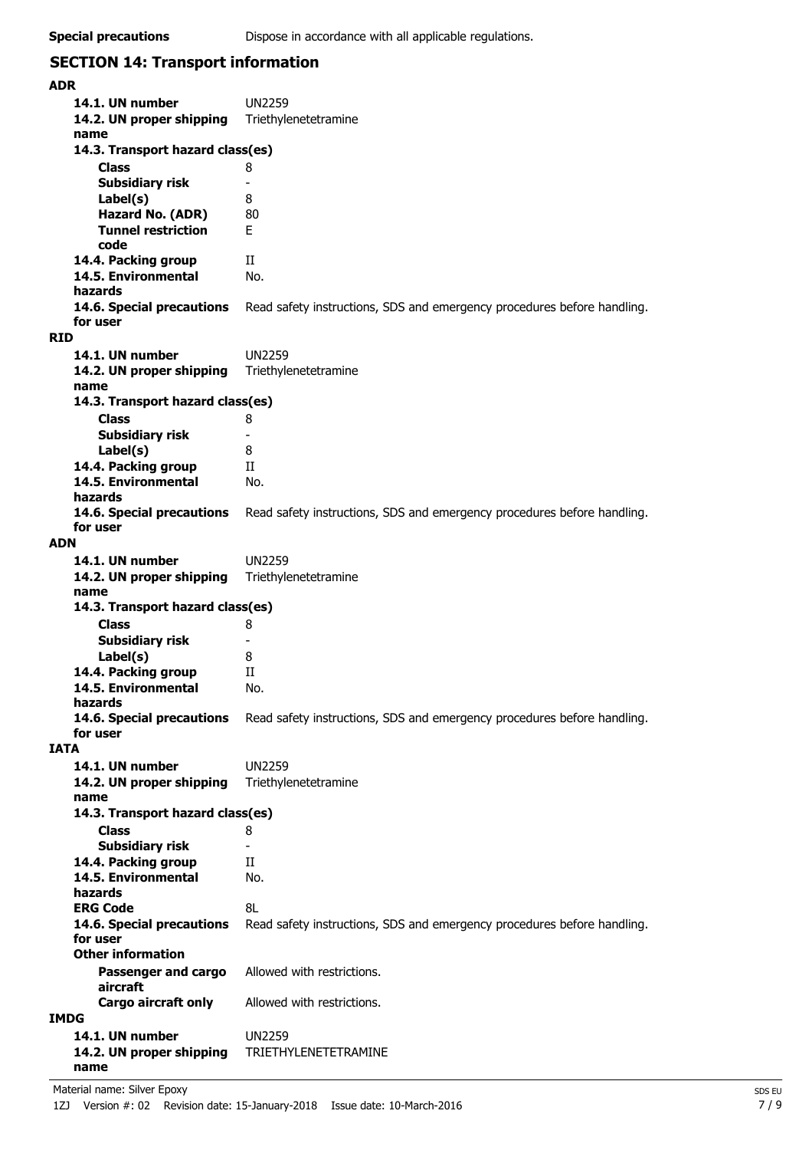# **SECTION 14: Transport information**

| <b>ADR</b>                       |                                                                         |
|----------------------------------|-------------------------------------------------------------------------|
| 14.1. UN number                  | <b>UN2259</b>                                                           |
| 14.2. UN proper shipping         | Triethylenetetramine                                                    |
| name                             |                                                                         |
| 14.3. Transport hazard class(es) |                                                                         |
| <b>Class</b>                     | 8                                                                       |
| <b>Subsidiary risk</b>           |                                                                         |
| Label(s)                         | 8                                                                       |
| Hazard No. (ADR)                 | 80                                                                      |
| <b>Tunnel restriction</b>        | F.                                                                      |
| code                             |                                                                         |
| 14.4. Packing group              | П                                                                       |
| 14.5. Environmental              | No.                                                                     |
| hazards                          |                                                                         |
| 14.6. Special precautions        | Read safety instructions, SDS and emergency procedures before handling. |
| for user                         |                                                                         |
| <b>RID</b>                       |                                                                         |
| 14.1. UN number                  | <b>UN2259</b>                                                           |
| 14.2. UN proper shipping         | Triethylenetetramine                                                    |
| name                             |                                                                         |
| 14.3. Transport hazard class(es) |                                                                         |
| <b>Class</b>                     | 8                                                                       |
| <b>Subsidiary risk</b>           | $\overline{\phantom{a}}$                                                |
| Label(s)                         | 8                                                                       |
| 14.4. Packing group              | H                                                                       |
| 14.5. Environmental              | No.                                                                     |
| hazards                          |                                                                         |
| 14.6. Special precautions        | Read safety instructions, SDS and emergency procedures before handling. |
| for user                         |                                                                         |
| <b>ADN</b>                       |                                                                         |
| 14.1. UN number                  | <b>UN2259</b>                                                           |
| 14.2. UN proper shipping         | Triethylenetetramine                                                    |
| name                             |                                                                         |
| 14.3. Transport hazard class(es) |                                                                         |
| <b>Class</b>                     | 8                                                                       |
| <b>Subsidiary risk</b>           |                                                                         |
| Label(s)                         | 8                                                                       |
| 14.4. Packing group              | Н                                                                       |
| 14.5. Environmental              | No.                                                                     |
| hazards                          |                                                                         |
| 14.6. Special precautions        | Read safety instructions, SDS and emergency procedures before handling. |
| for user                         |                                                                         |
| <b>IATA</b>                      |                                                                         |
| 14.1. UN number                  | <b>UN2259</b>                                                           |
| 14.2. UN proper shipping         | Triethylenetetramine                                                    |
| name                             |                                                                         |
| 14.3. Transport hazard class(es) |                                                                         |
| <b>Class</b>                     | 8                                                                       |
| <b>Subsidiary risk</b>           |                                                                         |
| 14.4. Packing group              | П                                                                       |
| 14.5. Environmental              | No.                                                                     |
| hazards                          |                                                                         |
| <b>ERG Code</b>                  | 8L                                                                      |
| 14.6. Special precautions        | Read safety instructions, SDS and emergency procedures before handling. |
| for user                         |                                                                         |
| <b>Other information</b>         |                                                                         |
| <b>Passenger and cargo</b>       | Allowed with restrictions.                                              |
| aircraft                         |                                                                         |
| Cargo aircraft only              | Allowed with restrictions.                                              |
| <b>IMDG</b>                      |                                                                         |
| 14.1. UN number                  | <b>UN2259</b>                                                           |
| 14.2. UN proper shipping         | TRIETHYLENETETRAMINE                                                    |
| name                             |                                                                         |

Material name: Silver Epoxy SDS EU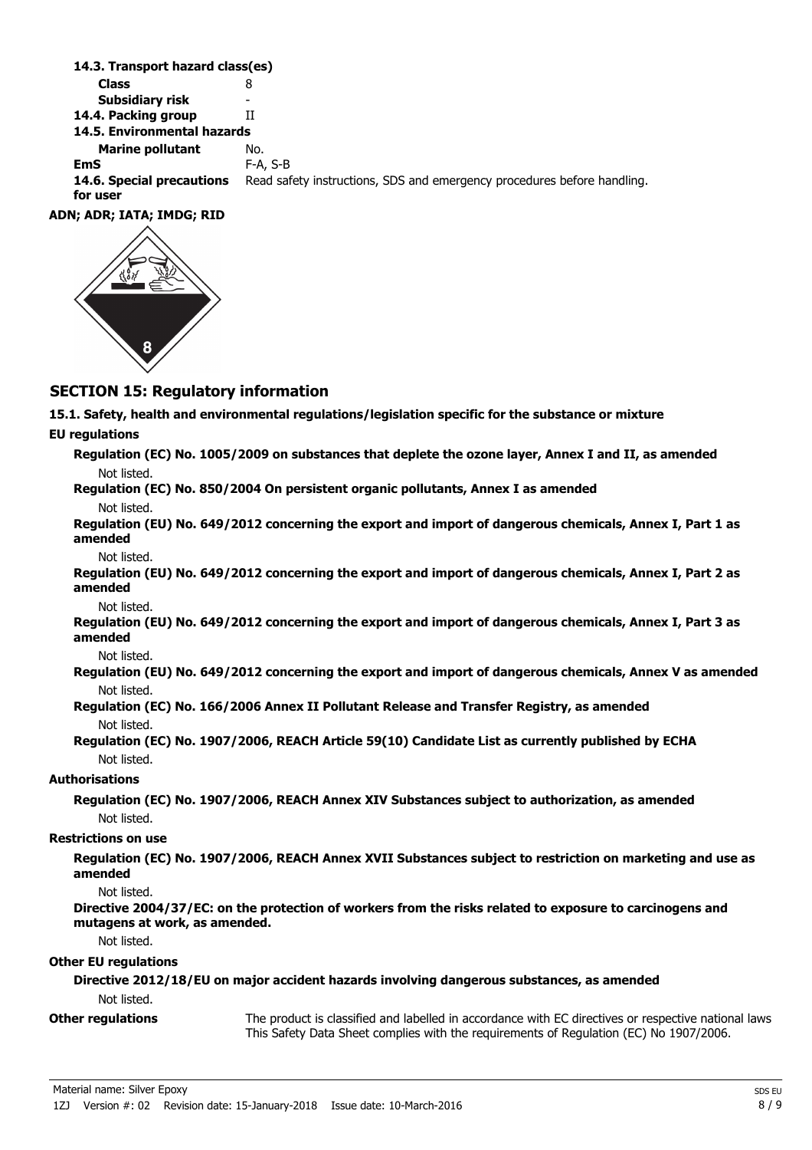| 14.3. Transport nazard class(es)      |                                                                         |
|---------------------------------------|-------------------------------------------------------------------------|
| <b>Class</b>                          | 8                                                                       |
| Subsidiary risk                       | -                                                                       |
| 14.4. Packing group                   | н                                                                       |
| 14.5. Environmental hazards           |                                                                         |
| <b>Marine pollutant</b>               | No.                                                                     |
| <b>EmS</b>                            | $F-A$ , S-B                                                             |
| 14.6. Special precautions<br>for user | Read safety instructions, SDS and emergency procedures before handling. |
| ADN; ADR; IATA; IMDG; RID             |                                                                         |



# **SECTION 15: Regulatory information**

**14.3. Transport has a set of the set of the set of the set of the set of the set of the set of the set of the s** 

**15.1. Safety, health and environmental regulations/legislation specific for the substance or mixture**

### **EU regulations**

| Regulation (EC) No. 1005/2009 on substances that deplete the ozone layer, Annex I and II, as amended |  |  |  |
|------------------------------------------------------------------------------------------------------|--|--|--|
| Not listed.<br>$\sim$ $\sim$ $\sim$ $\sim$ $\sim$ $\sim$ $\sim$ $\sim$<br>.                          |  |  |  |

**Regulation (EC) No. 850/2004 On persistent organic pollutants, Annex I as amended** Not listed.

**Regulation (EU) No. 649/2012 concerning the export and import of dangerous chemicals, Annex I, Part 1 as amended**

Not listed.

**Regulation (EU) No. 649/2012 concerning the export and import of dangerous chemicals, Annex I, Part 2 as amended**

Not listed.

**Regulation (EU) No. 649/2012 concerning the export and import of dangerous chemicals, Annex I, Part 3 as amended**

Not listed.

**Regulation (EU) No. 649/2012 concerning the export and import of dangerous chemicals, Annex V as amended** Not listed.

**Regulation (EC) No. 166/2006 Annex II Pollutant Release and Transfer Registry, as amended** Not listed.

**Regulation (EC) No. 1907/2006, REACH Article 59(10) Candidate List as currently published by ECHA** Not listed.

## **Authorisations**

**Regulation (EC) No. 1907/2006, REACH Annex XIV Substances subject to authorization, as amended** Not listed.

### **Restrictions on use**

**Regulation (EC) No. 1907/2006, REACH Annex XVII Substances subject to restriction on marketing and use as amended**

Not listed.

**Directive 2004/37/EC: on the protection of workers from the risks related to exposure to carcinogens and mutagens at work, as amended.**

Not listed.

## **Other EU regulations**

**Directive 2012/18/EU on major accident hazards involving dangerous substances, as amended** Not listed.

**Other regulations**

The product is classified and labelled in accordance with EC directives or respective national laws. This Safety Data Sheet complies with the requirements of Regulation (EC) No 1907/2006.